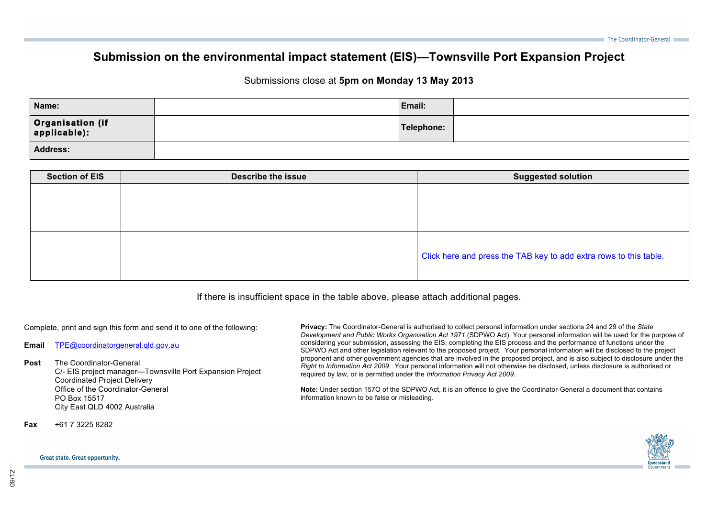## **Submission on the environmental impact statement (EIS)—Townsville Port Expansion Project**

## Submissions close at **5pm on Monday 13 May 2013**

| Name:                              | Email:     |  |
|------------------------------------|------------|--|
| Organisation (if<br>  applicable): | Telephone: |  |
| <b>Address:</b>                    |            |  |

| <b>Section of EIS</b> | <b>Describe the issue</b> | <b>Suggested solution</b>                                         |  |  |
|-----------------------|---------------------------|-------------------------------------------------------------------|--|--|
|                       |                           |                                                                   |  |  |
|                       |                           |                                                                   |  |  |
|                       |                           |                                                                   |  |  |
|                       |                           |                                                                   |  |  |
|                       |                           | Click here and press the TAB key to add extra rows to this table. |  |  |

If there is insufficient space in the table above, please attach additional pages.

Complete, print and sign this form and send it to one of the following:

**Email** TPE@coordinatorgeneral.qld.gov.au

## **Post** The Coordinator-General

C/- EIS project manager—Townsville Port Expansion Project Coordinated Project Delivery Office of the Coordinator-General PO Box 15517 City East QLD 4002 Australia

**Fax** +61 7 3225 8282

**Privacy:** The Coordinator-General is authorised to collect personal information under sections 24 and 29 of the *State Development and Public Works Organisation Act 1971* (SDPWO Act). Your personal information will be used for the purpose of considering your submission, assessing the EIS, completing the EIS process and the performance of functions under the SDPWO Act and other legislation relevant to the proposed project. Your personal information will be disclosed to the project proponent and other government agencies that are involved in the proposed project, and is also subject to disclosure under the *Right to Information Act 2009*. Your personal information will not otherwise be disclosed, unless disclosure is authorised or required by law, or is permitted under the *Information Privacy Act 2009*.

**Note:** Under section 157O of the SDPWO Act, it is an offence to give the Coordinator-General a document that contains information known to be false or misleading.



## **Great state. Great opportunity.**